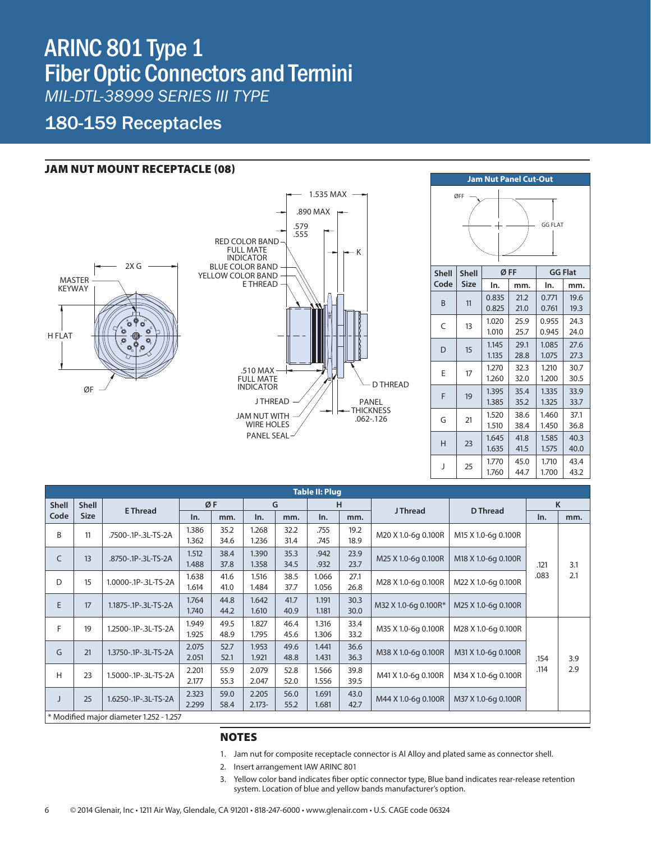# *GRAY H SM I* ARINC 801 Type 1 **Fiber Optic Connectors and Termini** gray h prod *MIL-DTL-38999 SERIES III TYPE*

### 180-159 Receptacles

#### JAM NUT MOUNT RECEPTACLE (08)







| <b>Table II: Plug</b> |                                         |                            |       |      |           |      |       |      |                      |                     |              |     |
|-----------------------|-----------------------------------------|----------------------------|-------|------|-----------|------|-------|------|----------------------|---------------------|--------------|-----|
| <b>Shell</b>          | <b>Shell</b>                            | <b>E</b> Thread            | ØF    |      | G         |      | H     |      | <b>J</b> Thread      | <b>D</b> Thread     | K            |     |
| Code                  | <b>Size</b>                             |                            | In.   | mm.  | In.       | mm.  | In.   | mm.  |                      |                     | In.          | mm. |
| B                     | 11                                      | .7500-.1P-.3L-TS-2A        | 1.386 | 35.2 | 1.268     | 32.2 | .755  | 19.2 | M20 X 1.0-6g 0.100R  | M15 X 1.0-6q 0.100R |              |     |
|                       |                                         |                            | 1.362 | 34.6 | 1.236     | 31.4 | .745  | 18.9 |                      |                     | .121<br>.083 |     |
| C                     | 13                                      | .8750-.1P-.3L-TS-2A        | 1.512 | 38.4 | 1.390     | 35.3 | .942  | 23.9 | M25 X 1.0-6g 0.100R  | M18 X 1.0-6g 0.100R |              |     |
|                       |                                         |                            | 1.488 | 37.8 | 1.358     | 34.5 | .932  | 23.7 |                      |                     |              | 3.1 |
| D                     | 15                                      | 1.0000-.1P-.3L-TS-2A       | 1.638 | 41.6 | 1.516     | 38.5 | 1.066 | 27.1 | M28 X 1.0-6g 0.100R  | M22 X 1.0-6g 0.100R |              | 2.1 |
|                       |                                         |                            | 1.614 | 41.0 | 1.484     | 37.7 | 1.056 | 26.8 |                      |                     |              |     |
| E                     | 17                                      | 1.1875-.1P-.3L-TS-2A       | 1.764 | 44.8 | 1.642     | 41.7 | 1.191 | 30.3 | M32 X 1.0-6q 0.100R* | M25 X 1.0-6q 0.100R |              |     |
|                       |                                         |                            | 1.740 | 44.2 | 1.610     | 40.9 | 1.181 | 30.0 |                      |                     |              |     |
| F                     | 19                                      | 1.2500-.1P-.3L-TS-2A       | 1.949 | 49.5 | 1.827     | 46.4 | 1.316 | 33.4 | M35 X 1.0-6q 0.100R  | M28 X 1.0-6q 0.100R | .154<br>.114 |     |
|                       |                                         |                            | 1.925 | 48.9 | 1.795     | 45.6 | 1.306 | 33.2 |                      |                     |              |     |
| G                     | 21                                      | 1.3750-.1P-.3L-TS-2A       | 2.075 | 52.7 | 1.953     | 49.6 | 1.441 | 36.6 | M38 X 1.0-6q 0.100R  | M31 X 1.0-6q 0.100R |              |     |
|                       |                                         |                            | 2.051 | 52.1 | 1.921     | 48.8 | 1.431 | 36.3 |                      |                     |              | 3.9 |
| H                     | 23                                      | 1.5000-.1P-.3L-TS-2A       | 2.201 | 55.9 | 2.079     | 52.8 | 1.566 | 39.8 | M41 X 1.0-6g 0.100R  | M34 X 1.0-6q 0.100R |              | 2.9 |
|                       |                                         |                            | 2.177 | 55.3 | 2.047     | 52.0 | 1.556 | 39.5 |                      |                     |              |     |
|                       |                                         | 25<br>1.6250-.1P-.3L-TS-2A | 2.323 | 59.0 | 2.205     | 56.0 | 1.691 | 43.0 |                      | M37 X 1.0-6q 0.100R |              |     |
|                       |                                         |                            | 2.299 | 58.4 | $2.173 -$ | 55.2 | 1.681 | 42.7 | M44 X 1.0-6g 0.100R  |                     |              |     |
|                       | * Modified major diameter 1.252 - 1.257 |                            |       |      |           |      |       |      |                      |                     |              |     |

#### NOTES

- 1. Jam nut for composite receptacle connector is Al Alloy and plated same as connector shell.
- 2. Insert arrangement IAW ARINC 801
- 3. Yellow color band indicates fiber optic connector type, Blue band indicates rear-release retention system. Location of blue and yellow bands manufacturer's option.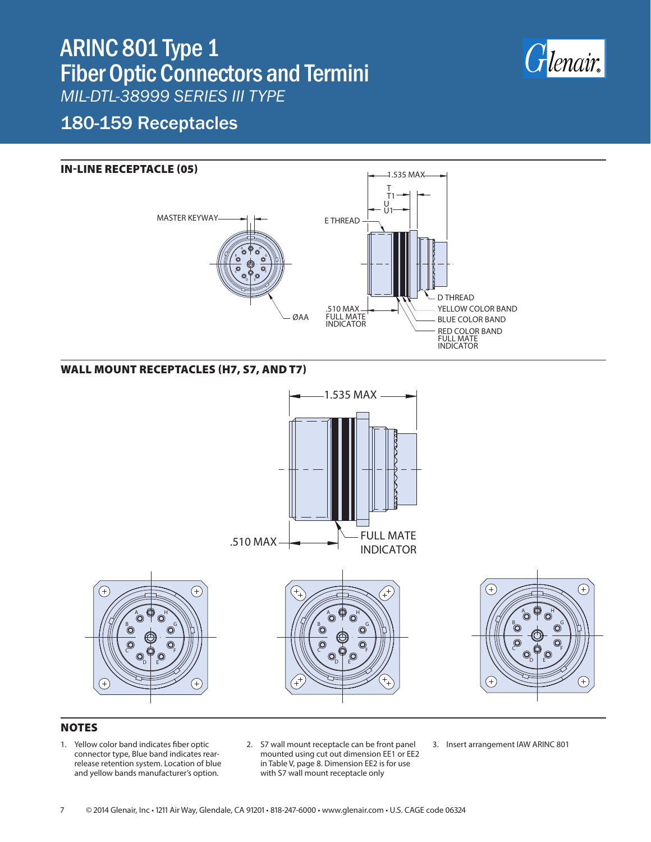## ARINC 801 Type 1 Fiber Optic Connectors and Termini *MIL-DTL-38999 SERIES III TYPE*



### 180-159 Receptacles

#### IN-LINE RECEPTACLE (05)



### WALL MOUNT RECEPTACLES (H7, S7, AND T7)





#### **H7 - Round Holes (Standard) S7 - Slotted Holes T7 - Threaded Holes NOTES**

1. Yellow color band indicates fiber optic connector type, Blue band indicates rearrelease retention system. Location of blue and yellow bands manufacturer's option.

B

C

- 2. S7 wall mount receptacle can be front panel mounted using cut out dimension EE1 or EE2 in Table V, page 8. Dimension EE2 is for use with S7 wall mount receptacle only
- 3. Insert arrangement IAW ARINC 801
- 7 © 2014 Glenair, Inc 1211 Air Way, Glendale, CA 91201 818-247-6000 www.glenair.com U.S. CAGE code 06324